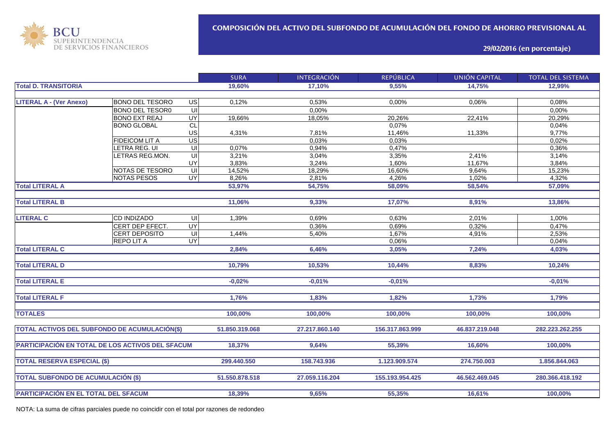

**29/02/2016 (en porcentaje)**

|                                                         |                        |                         | <b>SURA</b>    | <b>INTEGRACIÓN</b> | <b>REPÚBLICA</b> | <b>UNIÓN CAPITAL</b> | <b>TOTAL DEL SISTEMA</b> |
|---------------------------------------------------------|------------------------|-------------------------|----------------|--------------------|------------------|----------------------|--------------------------|
| <b>Total D. TRANSITORIA</b>                             |                        |                         | 19,60%         | 17.10%             | 9,55%            | 14.75%               | 12.99%                   |
|                                                         |                        |                         |                |                    |                  |                      |                          |
| <b>LITERAL A - (Ver Anexo)</b>                          | <b>BONO DEL TESORO</b> | $\overline{G}$          | 0,12%          | 0,53%              | 0,00%            | 0,06%                | 0,08%                    |
|                                                         | <b>BONO DEL TESOR0</b> | $\subseteq$             |                | 0,00%              |                  |                      | 0,00%                    |
|                                                         | <b>BONO EXT REAJ</b>   | <b>UY</b>               | 19,66%         | 18,05%             | 20,26%           | 22,41%               | 20,29%                   |
|                                                         | <b>BONO GLOBAL</b>     | $\overline{CL}$         |                |                    | 0,07%            |                      | 0,04%                    |
|                                                         |                        | US                      | 4,31%          | 7,81%              | 11,46%           | 11,33%               | 9,77%                    |
|                                                         | <b>FIDEICOM LIT A</b>  | $\overline{US}$         |                | 0.03%              | 0,03%            |                      | 0,02%                    |
|                                                         | LETRA REG. UI          | $\overline{\mathsf{C}}$ | 0,07%          | 0,94%              | 0,47%            |                      | 0,36%                    |
|                                                         | LETRAS REG.MON.        | UI                      | 3,21%          | 3,04%              | 3,35%            | 2,41%                | 3,14%                    |
|                                                         |                        | UY                      | 3,83%          | 3,24%              | 1,60%            | 11,67%               | 3,84%                    |
|                                                         | NOTAS DE TESORO        | UI                      | 14,52%         | 18,29%             | 16,60%           | 9,64%                | 15,23%                   |
|                                                         | <b>NOTAS PESOS</b>     | <b>UY</b>               | 8,26%          | 2,81%              | 4,26%            | 1,02%                | 4,32%                    |
| <b>Total LITERAL A</b>                                  |                        |                         | 53,97%         | 54,75%             | 58,09%           | 58,54%               | 57,09%                   |
|                                                         |                        |                         |                |                    |                  |                      |                          |
| <b>Total LITERAL B</b>                                  |                        |                         | 11,06%         | 9,33%              | 17,07%           | 8,91%                | 13,86%                   |
|                                                         |                        |                         |                |                    |                  |                      |                          |
| <b>LITERAL C</b>                                        | <b>CD INDIZADO</b>     | UI                      | 1,39%          | 0,69%              | 0.63%            | 2,01%                | 1,00%                    |
|                                                         | CERT DEP EFECT.        | $\overline{\mathsf{C}}$ |                | 0,36%              | 0,69%            | 0,32%                | 0,47%                    |
|                                                         | <b>CERT DEPOSITO</b>   | $\subseteq$             | 1,44%          | 5,40%              | 1,67%            | 4,91%                | 2,53%                    |
|                                                         | <b>REPOLITA</b>        | <b>UY</b>               |                |                    | 0,06%            |                      | 0,04%                    |
| <b>Total LITERAL C</b>                                  |                        |                         | 2,84%          | 6,46%              | 3,05%            | 7,24%                | 4,03%                    |
|                                                         |                        |                         |                |                    |                  |                      |                          |
| <b>Total LITERAL D</b>                                  |                        |                         | 10,79%         | 10,53%             | 10,44%           | 8,83%                | 10,24%                   |
|                                                         |                        |                         |                |                    |                  |                      |                          |
| <b>Total LITERAL E</b>                                  |                        |                         | $-0,02%$       | $-0,01%$           | $-0,01%$         |                      | $-0,01%$                 |
|                                                         |                        |                         |                |                    |                  |                      |                          |
| <b>Total LITERAL F</b>                                  |                        |                         | 1,76%          | 1,83%              | 1,82%            | 1,73%                | 1,79%                    |
|                                                         |                        |                         |                |                    |                  |                      |                          |
| <b>TOTALES</b>                                          |                        |                         | 100,00%        | 100,00%            | 100,00%          | 100,00%              | 100,00%                  |
|                                                         |                        |                         |                |                    |                  |                      |                          |
| TOTAL ACTIVOS DEL SUBFONDO DE ACUMULACIÓN(\$)           |                        |                         | 51.850.319.068 | 27.217.860.140     | 156.317.863.999  | 46.837.219.048       | 282.223.262.255          |
|                                                         |                        |                         |                |                    |                  |                      |                          |
| <b>PARTICIPACIÓN EN TOTAL DE LOS ACTIVOS DEL SFACUM</b> |                        |                         | 18,37%         | 9.64%              | 55.39%           | 16,60%               | 100,00%                  |
|                                                         |                        |                         |                |                    |                  |                      |                          |
| <b>TOTAL RESERVA ESPECIAL (\$)</b>                      |                        | 299.440.550             | 158.743.936    | 1.123.909.574      | 274.750.003      | 1.856.844.063        |                          |
|                                                         |                        |                         |                |                    |                  |                      |                          |
| <b>TOTAL SUBFONDO DE ACUMULACIÓN (\$)</b>               |                        |                         | 51.550.878.518 | 27.059.116.204     | 155.193.954.425  | 46.562.469.045       | 280.366.418.192          |
|                                                         |                        |                         |                |                    |                  |                      |                          |
| PARTICIPACIÓN EN EL TOTAL DEL SFACUM                    |                        |                         | 18,39%         | 9,65%              | 55,35%           | 16,61%               | 100,00%                  |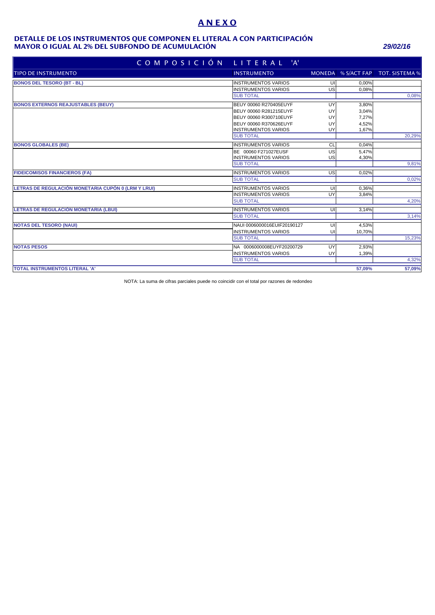# **A N E X O**

#### **MAYOR O IGUAL AL 2% DEL SUBFONDO DE ACUMULACIÓN** *29/02/16* **DETALLE DE LOS INSTRUMENTOS QUE COMPONEN EL LITERAL A CON PARTICIPACIÓN**

| COMPOSICIÓN                                         | LITERAL 'A'                 |    |        |                                   |
|-----------------------------------------------------|-----------------------------|----|--------|-----------------------------------|
| <b>TIPO DE INSTRUMENTO</b>                          | <b>INSTRUMENTO</b>          |    |        | MONEDA % S/ACT FAP TOT. SISTEMA % |
| <b>BONOS DEL TESORO (BT - BL)</b>                   | <b>INSTRUMENTOS VARIOS</b>  | UI | 0.00%  |                                   |
|                                                     | <b>INSTRUMENTOS VARIOS</b>  | US | 0.08%  |                                   |
|                                                     | <b>SUB TOTAL</b>            |    |        | 0,08%                             |
| <b>BONOS EXTERNOS REAJUSTABLES (BEUY)</b>           | BEUY 00060 R270405EUYF      | UY | 3,80%  |                                   |
|                                                     | BEUY 00060 R281215EUYF      | UY | 3,04%  |                                   |
|                                                     | BEUY 00060 R300710EUYF      | UY | 7,27%  |                                   |
|                                                     | BEUY 00060 R370626EUYF      | UY | 4,52%  |                                   |
|                                                     | <b>INSTRUMENTOS VARIOS</b>  | UY | 1,67%  |                                   |
|                                                     | <b>SUB TOTAL</b>            |    |        | 20,29%                            |
| <b>BONOS GLOBALES (BE)</b>                          | <b>INSTRUMENTOS VARIOS</b>  | CL | 0.04%  |                                   |
|                                                     | BE 00060 F271027EUSF        | US | 5,47%  |                                   |
|                                                     | <b>INSTRUMENTOS VARIOS</b>  | US | 4,30%  |                                   |
|                                                     | <b>SUB TOTAL</b>            |    |        | 9,81%                             |
| <b>FIDEICOMISOS FINANCIEROS (FA)</b>                | <b>INSTRUMENTOS VARIOS</b>  | US | 0,02%  |                                   |
|                                                     | <b>SUB TOTAL</b>            |    |        | 0,02%                             |
| LETRAS DE REGULACIÓN MONETARIA CUPÓN 0 (LRM Y LRUI) | <b>INSTRUMENTOS VARIOS</b>  | UI | 0.36%  |                                   |
|                                                     | <b>INSTRUMENTOS VARIOS</b>  | UY | 3,84%  |                                   |
|                                                     | <b>SUB TOTAL</b>            |    |        | 4,20%                             |
| LETRAS DE REGULACIÓN MONETARIA (LBUI)               | <b>INSTRUMENTOS VARIOS</b>  | UI | 3,14%  |                                   |
|                                                     | <b>SUB TOTAL</b>            |    |        | 3,14%                             |
| <b>NOTAS DEL TESORO (NAUI)</b>                      | NAUI 0006000016EUIF20190127 | UI | 4.53%  |                                   |
|                                                     | <b>INSTRUMENTOS VARIOS</b>  | UI | 10,70% |                                   |
|                                                     | <b>SUB TOTAL</b>            |    |        | 15,23%                            |
| <b>NOTAS PESOS</b>                                  | NA 0006000008EUYF20200729   | UY | 2,93%  |                                   |
|                                                     | <b>INSTRUMENTOS VARIOS</b>  | UY | 1,39%  |                                   |
|                                                     | <b>SUB TOTAL</b>            |    |        | 4,32%                             |
| <b>TOTAL INSTRUMENTOS LITERAL 'A'</b>               |                             |    | 57.09% | 57,09%                            |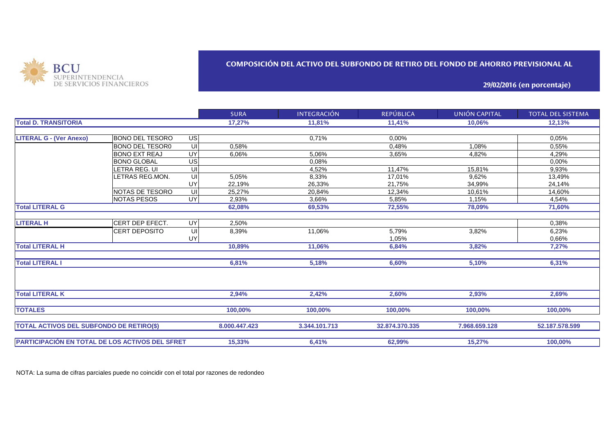

## **COMPOSICIÓN DEL ACTIVO DEL SUBFONDO DE RETIRO DEL FONDO DE AHORRO PREVISIONAL AL**

**29/02/2016 (en porcentaje)**

|                                                 |                        |                 | <b>SURA</b>   | <b>INTEGRACIÓN</b> | <b>REPÚBLICA</b> | UNIÓN CAPITAL  | <b>TOTAL DEL SISTEMA</b> |
|-------------------------------------------------|------------------------|-----------------|---------------|--------------------|------------------|----------------|--------------------------|
| <b>Total D. TRANSITORIA</b>                     |                        |                 | 17,27%        | 11,81%             | 11,41%           | 10,06%         | 12,13%                   |
|                                                 |                        |                 |               |                    |                  |                |                          |
| <b>LITERAL G - (Ver Anexo)</b>                  | <b>BONO DEL TESORO</b> | <b>US</b>       |               | 0,71%              | 0,00%            |                | 0.05%                    |
|                                                 | <b>BONO DEL TESOR0</b> | UI              | 0,58%         |                    | 0,48%            | 1,08%          | 0,55%                    |
|                                                 | <b>BONO EXT REAJ</b>   | $\overline{UY}$ | 6,06%         | 5.06%              | 3.65%            | 4,82%          | 4,29%                    |
|                                                 | <b>BONO GLOBAL</b>     | US              |               | 0,08%              |                  |                | 0,00%                    |
|                                                 | <b>ETRA REG. UI</b>    | UI              |               | 4,52%              | 11,47%           | 15,81%         | 9,93%                    |
|                                                 | LETRAS REG.MON.        | UI              | 5,05%         | 8,33%              | 17,01%           | 9,62%          | 13,49%                   |
|                                                 |                        | UY              | 22,19%        | 26,33%             | 21,75%           | 34,99%         | 24,14%                   |
|                                                 | NOTAS DE TESORO        | UI              | 25.27%        | 20.84%             | 12.34%           | 10.61%         | 14,60%                   |
|                                                 | <b>NOTAS PESOS</b>     | UY              | 2,93%         | 3.66%              | 5,85%            | 1,15%          | 4,54%                    |
| <b>Total LITERAL G</b>                          |                        |                 | 62,08%        | 69,53%             | 72,55%           | 78,09%         | 71,60%                   |
|                                                 |                        |                 |               |                    |                  |                |                          |
| <b>LITERAL H</b>                                | CERT DEP EFECT.        | UY              | 2,50%         |                    |                  |                | 0,38%                    |
|                                                 | <b>CERT DEPOSITO</b>   | UI              | 8,39%         | 11,06%             | 5,79%            | 3,82%          | 6,23%                    |
|                                                 |                        | UY              |               |                    | 1,05%            |                | 0,66%                    |
| <b>Total LITERAL H</b>                          |                        |                 | 10,89%        | 11,06%             | 6,84%            | 3,82%          | 7,27%                    |
| <b>Total LITERAL I</b>                          |                        |                 | 6,81%         | 5,18%              | 6,60%            | 5,10%          | 6,31%                    |
|                                                 |                        |                 |               |                    |                  |                |                          |
| <b>Total LITERAL K</b>                          |                        |                 | 2,94%         | 2,42%              | 2,60%            | 2,93%          | 2,69%                    |
| <b>TOTALES</b>                                  |                        |                 | 100,00%       | 100,00%            | 100,00%          | 100,00%        | 100,00%                  |
| <b>TOTAL ACTIVOS DEL SUBFONDO DE RETIRO(\$)</b> |                        | 8.000.447.423   | 3.344.101.713 | 32.874.370.335     | 7.968.659.128    | 52.187.578.599 |                          |
|                                                 |                        |                 |               |                    |                  |                |                          |
| PARTICIPACIÓN EN TOTAL DE LOS ACTIVOS DEL SFRET |                        |                 | 15,33%        | 6,41%              | 62,99%           | 15,27%         | 100,00%                  |